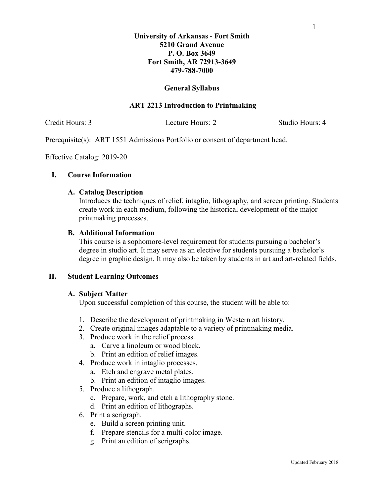# **University of Arkansas - Fort Smith 5210 Grand Avenue P. O. Box 3649 Fort Smith, AR 72913-3649 479-788-7000**

## **General Syllabus**

# **ART 2213 Introduction to Printmaking**

Credit Hours: 3 Lecture Hours: 2 Studio Hours: 4

Prerequisite(s): ART 1551 Admissions Portfolio or consent of department head.

Effective Catalog: 2019-20

## **I. Course Information**

#### **A. Catalog Description**

Introduces the techniques of relief, intaglio, lithography, and screen printing. Students create work in each medium, following the historical development of the major printmaking processes.

## **B. Additional Information**

This course is a sophomore-level requirement for students pursuing a bachelor's degree in studio art. It may serve as an elective for students pursuing a bachelor's degree in graphic design. It may also be taken by students in art and art-related fields.

#### **II. Student Learning Outcomes**

#### **A. Subject Matter**

Upon successful completion of this course, the student will be able to:

- 1. Describe the development of printmaking in Western art history.
- 2. Create original images adaptable to a variety of printmaking media.
- 3. Produce work in the relief process.
	- a. Carve a linoleum or wood block.
	- b. Print an edition of relief images.
- 4. Produce work in intaglio processes.
	- a. Etch and engrave metal plates.
	- b. Print an edition of intaglio images.
- 5. Produce a lithograph.
	- c. Prepare, work, and etch a lithography stone.
	- d. Print an edition of lithographs.
- 6. Print a serigraph.
	- e. Build a screen printing unit.
	- f. Prepare stencils for a multi-color image.
	- g. Print an edition of serigraphs.